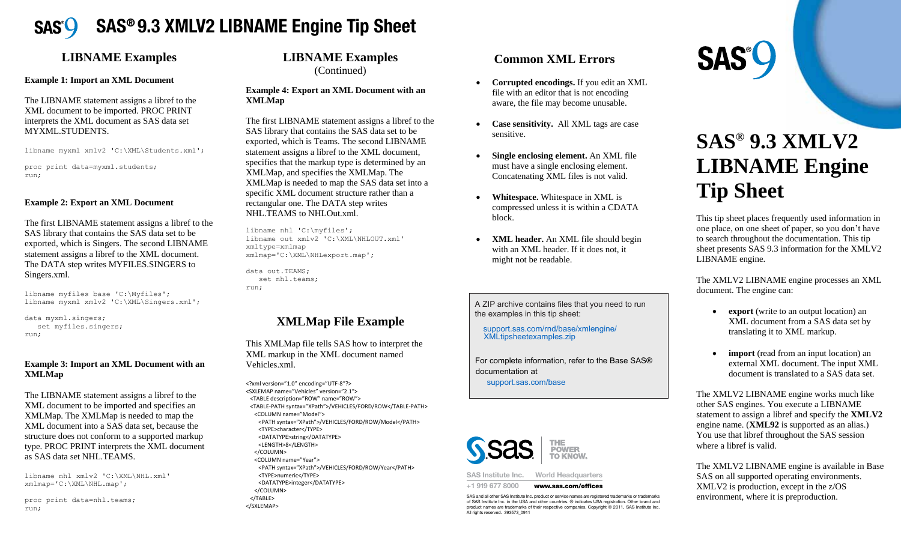

#### **LIBNAME Examples LIBNAME Examples LIBNAME Examples**

#### **Example 1: Import an XML Document Example 1: Import an XML Document Example 1: Import an XML Document**

The LIBNAME statement assigns a libref to the XML document to be imported. PROC PRINT interprets the XML document as SAS data set set interprets the XML document as SAS data set MYXML.STUDENTS. I ne LIBNAINE statement assigns a norel to the  $\frac{1}{2}$  $T_{\rm DNNAME}$  statement as  $\sim 10^{12}$  G to the to the to the to the to the theorem is a libre to the to the to the to the to the to the to the to the to the to the to the to the to the to the to the to the to the to the to  $\mathbb{R}$  LIDINAINE statement assigns a noter to the METHERS THE AINTLE COCULT The LIBNAME statement assigns a libref to the XML document to be imported. PROC PRINT interprets the XML document as SAS data set MYXML.STUDENT

libname myxml xmlv2 'C:\XML\Students.xml'; libname myxml xmlv2 'C:\XML\Students.xml';

proc print data=myxml.students; proc print data=myxml.students; run; run; run; proc print data=myxml.students;

#### **Example 2: Export an XML Document Example 2: Export an XML Document Example 2: Export an XML Document**

The first LIBNAME statement assigns a libref to the  $SAS$  library that contains the  $SAS$  data set to be exported, which is Singers. The second LIBNAME statement assigns a libref to the XML document. statement assigns a noter to the *XNL* document.<br>The DATA step writes MYFILES.SINGERS to Singers.xml. FIE TIEST LIBNAME STATE IN ASSIGNS A HOTEL TO THE SECOND LIBRARY OF SECOND LIBRARY.  $T_{\text{t}}$   $\overline{t}$   $\overline{t}$   $\overline{t}$   $\overline{t}$   $\overline{t}$   $\overline{t}$   $\overline{t}$   $\overline{t}$   $\overline{t}$   $\overline{t}$   $\overline{t}$   $\overline{t}$   $\overline{t}$   $\overline{t}$   $\overline{t}$   $\overline{t}$   $\overline{t}$   $\overline{t}$   $\overline{t}$   $\overline{t}$   $\overline{t}$   $\overline{t}$   $\overline{t}$   $\overline$ The first LIBNAME statement assigns a libref to the SAS data set to be provided. Exported, which is Singers. The second LIBNAME ported, which is singers. The second Library  $\frac{1}{2}$ The DATA step writes MYFILES.SINGERS to<br>Six seems and exported, which is Singers. The second LIBNAM statement assigns a libref to the XML documer

libname myfiles base 'C:\Myfiles'; base 'C:\Myfiles'; libname myfiles base 'C:\Myfiles'; libname myxml xmlv2 'C:\XML\Singers.xml'; xmlv2 'C:\XML\Singers.xml'; data myxml.singers; libname myxml xmlv2 'C:\XML\Singers.xml'; libname myfiles base 'C:\Myfiles'; libname myxml xmlv2 'C:\XML\Singers.xml';

data myxml.singers; set myfiles.singers; set myfiles.singers; run; run; run; set myfiles.singers; data myxml.singers;

### **Example 3: Import an XML Document with an**  $XMLMap$ **Example 3: Import an XML Document with a**

The LIBNAME statement assigns a libref to the  $XML$  document to be imported and specifies an  $XMLMap$ . The  $XMLMap$  is needed to map the  $XMLMap$ XML document into a SAS data set, because the structure does not conform to a supported markup structure does not comorm to a supported markup<br>type. PROC PRINT interprets the XML document as SAS data set NHL.TEAMS. The LIBNAME statement assigns a noter to the  $M_{\odot}$  $T_{\rm 1}$  The LIBRALIA  $T_{\rm 2}$  signs a library assigns a library and the total to the theorem in the contract of the to the theorem in the contract of the theorem in the contract of the three contracts of the three cont The LIBNAME statement assigns a libref to the  $\overline{X}$  $M_{\text{max}}$  The XMLMap is needed to map the  $M_{\text{max}}$  $M_{\rm H}$  document into a SAS data set of the set of  $M_{\rm H}$  $\sum_{n=1}^{\infty}$  document mo a sAS data set, because the pe. FROC FRINT Interprets the XMLMap. The XMLMap is needed to map th XML document into a SAS data set, because th structure does not conform to a supported markup type. PROC PRINT interprets the XML document as SAS data set NHL.TEAM

libname nhl xmlv2 'C:\XML\NHL.xml' 'C:\XML\NHL.xml' libname nhl xmlv2 'C:\XML\NHL.xml' xmlmap='C:\XML\NHL.map'; xmlmap='C:\XML\NHL.map'; proc print data=nhl.teams; xmlmap='C:\XML\NHL.map'; xmlmap='C:\XML\NHL.map'; libname nhl xmlv2 'C:\XML\NHL.xml'

proc print data=nhl.teams; data=nhl.teams; proc print data=nhl.teams; run; run; run; proc print data=nhl.teams;

#### **LIBNAME Examples Examples**  (Continued) **LIBNAME Examples** (Continued) (Continued) **Example 4: Export an XML Document with an** (Continued) **LIBNAME Examples** (Continued)

#### **Example 4: Export an XML Document with an an XMLMap Example 4: Export an XML Document with an XMLMap XMLMap**  $\Delta$ IVILIVIA $\bf p$ **Example 4: Export an XML Document with a**

The first LIBNAME statement assigns a libref to the SAS library that contains the SAS data set to be exported, which is Teams. The second LIBNAME statement assigns a libref to the XML document, specifies that the markup type is determined by an  $X \times \mathbb{R}$ XMLMap, and specifies the XMLMap. The  $XMLMap$  is needed to map the SAS data set into a specific XML document structure rather than a rectangular one. The DATA step writes rectangular one. The DATA step writes rectangural one. The DATA step v<br>NHL.TEAMS to NHLOut.xml. The first LIBNAME statement assigns a noted to the second LIBNAME statement assigns a noted to the second LIBNA  $T_{\text{t}}$   $\overline{t}$   $\overline{t}$   $\overline{t}$   $\overline{t}$   $\overline{t}$   $\overline{t}$   $\overline{t}$   $\overline{t}$   $\overline{t}$   $\overline{t}$   $\overline{t}$   $\overline{t}$   $\overline{t}$   $\overline{t}$   $\overline{t}$   $\overline{t}$   $\overline{t}$   $\overline{t}$   $\overline{t}$   $\overline{t}$   $\overline{t}$   $\overline{t}$   $\overline{t}$   $\overline$ The first LIBNAME statement assigns a libref to the SAS data set to be provided. Exporting that contains the second value set to be  $\mathbb{R}^n$ ported, which is Teams. The second Library  $\mathbb{R}^n$  $\frac{1}{2}$  section to the matter that the matter is determined by an analysis determined by an analysis determined by an analysis of  $\frac{1}{2}$ specifies that the markup type is determined by and  $X^{\mathcal{M}}$  $MLMap$ , and specifies the  $\Delta MLMap$ . The  $x$ MLMap is needed to map the SAS data set into  $x<sub>0</sub>$  is needed to map the SAS data set into exported, which is Teams. The second LIBNAM statement assigns a libref to the XML document rectangular one. The DATA step writes NHL.TEAMS to NHLOut.xml.

libname nhl 'C:\myfiles'; libname out xmlv2 'C:\XML\NHLOUT.xml' xmlmap='C:\XML\NHLexport.map'; libname out xmlv2 'C:\XML\NHLOUT.xml' xmltype=xmlmap xmltype=xmlmap xmitype=xmimap<br>xmlmap='C:\XML\NHLexport.map'; xmltype=xmlmap libname out xmlv2 'C:\XML\NHLOUT.xml' libname nhl 'C:\myfiles'; xmlmap='C:\XML\NHLexport.map';

data out.TEAMS; a out.TEAMS;<br>set nhl.teams; run; run; run; set nhl.teams; data out.TEAMS;

#### **XMLMap File Example XMLMap File Example XMLMap File Example**

This XMLMap file tells SAS how to interpret the XML markup in the XML document named XML markup in the XML document named Vehicles.xml. I ms Aml Map  $T_{\text{MMA}}$  field  $\text{MMA}$  file the interpretation of interpretations  $\text{MMA}$  $XML$  markup in the XML document name This XMLMap file tells SAS how to interpret the

<?xml version="1.0" encoding="UTF-8"?> <?xml version="1.0" encoding="UTF-8"?><br><SXLEMAP name="Vehicles" version="2.1"> <TABLE description="ROW" name="ROW"> <TABLE-PATH syntax="XPath">/VEHICLES/FORD/ROW</TABLE-PATH> <COLUMN name="Model"> <PATH syntax="XPath">/VEHICLES/FORD/ROW/Model</PATH> <TYPE>character</TYPE> <TYPE>character</TYPE> <LENGTH>8</LENGTH> <DATATYPE>string</DATATYPE> <TYPE>character</TYPE> <DATATYPE>string</DATATYPE> <LENGTH>8</LENGTH>  $\langle$  /COLUMN> </COLUMN><br><COLUMN name="Year"> <PATH syntax="XPath">/VEHICLES/FORD/ROW/Year</PATH> <DATATYPE>integer</DATATYPE> <PATH syntax="XPath">/VEHICLES/FORD/ROW/Year</PATH> <TYPE>numeric</TYPE> <PATH syntax="XPath">/VEHICLES<br><TYPE>numeric</TYPE><br><DATATYPE>integer</DATATYPE> </COLUMN> </COLUMN><br></TABLE> </SXLEMAP> </SXLEMAP> <PATH syntax="XPath">/VEHICLES/FORD/ROW/Year</PATH <COLUMN name="Year

#### $Common XML Errors$ **Common XML Errors Common XML Errors**

- **Corrupted encodings.** If you edit an XML file with an editor that is not encoding aware, the file may become unusable. **prrupted encodings.** If you edit an XI **Corrupted encodings.** If you edit an XML **•** Corrupted encodings. If you edit an XML
- **Case sensitivity.** All XML tags are case **Case sensitivity.** All XML tags are case sensitive. **•** Case sensitivity. All XML tags are case
- **Single enclosing element.** An XML file must have a single enclosing element. Concatenating XML files is not valid. **Single enclosing element.** An XML file
- Whitespace. Whitespace in XML is compressed unless it is within a CDATA block. block. **block. •** Whitespace. Whitespace in XML is
- **XML header.** An XML file should begin with an XML header. If it does not, it might not be readable. might not be readable. **ML header.** An XML **WIL header.** An XML file should begin

A ZIP archive contains files that you need to run the examples in this tip sheet:

See **support.sas.com/rnd/base/xmlengine** See **support.sas.com/rnd/base/xmlengine** support.sas.com/rnd/base/xmlengine/ to download a ZIP archive that contains the files you to download a ZIP archive that contains the files you See **support.sas.com/rnd/base/xmlengine** XMLtipsheetexamples.zip $t_{\text{min}}$  archive that contains the files  $\mathcal{L}_{\text{max}}$ 

For complete information, refer to the Base SAS® of complete information, forch to the Base of too addomat<br>download for SAS XML Mapper. For complete information, refer to the Base SAS® for the XMLV2 Library and to the XMLV2 Library and to the XMLV2 Library and to the XMLV2 Library and to the XMLV2 Library and to the XMLV2 Library and to the XMLV2 Library and to the XMLV2 Library and to the XMLV2 Library support.sas.com/base

For complete information, refer to the



SAS Institute Inc. World Headquarters +1 919 677 8000 www.sas.com/offices

SAS and all other SAS Institute Inc. product or service names are registered trademarks or trademarks of SAS Institute Inc. in the USA and other countries. ® indicates USA registration. Other brand and product names are trademarks of their respective companies. Copyright © 2011, SAS Institute Inc. All rights reserved. 393573\_0911

#### **SAS® 9.3 XMLV2 LIBNAME Engine Tip Sheet SAS® 9.3 XMLV2 LIBNAME** Fraine **Tip Sheet SAS® 9.3 XMLV2 LIBNAME Engine Tip Sheet SAS® 9.3 AML V LIBNAME Engine Tip Sheet**

**SAS®** 

one place, on one sheet of paper, so you don't have  $\frac{1}{2}$  to search throughout the documentation. This tip to search throughout the documentation. This tip<br>sheet presents SAS 9.3 information for the XMLV2 sheet presents STES 5.6 information for the TIME LIBNAME engine. This tip sheet places frequently used information in LIBNAME engine.

The Thing v2 Engine engine processes an International document. The engine can: The XMLV2 LIBNAME engine processes an XML document. The engine can:

- **Export** (write to an output location) and  $XML$  document from a SAS data set by This document from a SAS data set e translating it to XML markup. **export** (write to an output location) an translating it to XML markup.
- **import** (read from an input location) and external XML document. The input XML external Third document. The input Third document is translated to a SAS data set. document is translated to a SAS data set **•** import (read from an input location) an

other SAS engines. You execute a LIBNAME statement to assign a libref and specify the **XMLV2** statement to assign a noter and speen, the **XML** engine name. (**XML92** is supported as an alias.) You use that libref throughout the SAS session You use that here in sugnstitute SAS session where a libref is valid. where a hores is valid The XMLV2 LIBNAME engine works much like

The XMLV2 LIBNAME engine is available in Base SAS on all supported operating environments. SAS on all supported operating environments. environment, where it is preproduction. XMLV2 is production, except in the z/OS SAS on all supported operating environments.  $\frac{1}{2}$  is production, except in the  $\frac{1}{2}$ environment, where it is preproduction. The XMLV2 LIBNAME engine is available in Base environment, where it is preproduction.